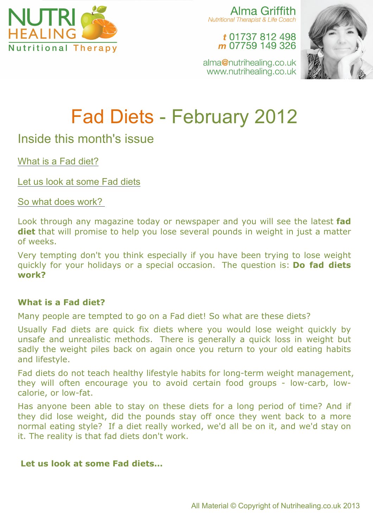

Alma Griffith Nutritional Therapist & Life Coach

t 01737 812 498 m 07759 149 326



alma@nutrihealing.co.uk www.nutrihealing.co.uk

# Fad Diets - February 2012

# Inside this month's issue

What is a Fad diet?

Let us look at some Fad diets

So what does work?

Look through any magazine today or newspaper and you will see the latest **fad diet** that will promise to help you lose several pounds in weight in just a matter of weeks.

Very tempting don't you think especially if you have been trying to lose weight quickly for your holidays or a special occasion. The question is: **Do fad diets work?**

# **What is a Fad diet?**

Many people are tempted to go on a Fad diet! So what are these diets?

Usually Fad diets are quick fix diets where you would lose weight quickly by unsafe and unrealistic methods. There is generally a quick loss in weight but sadly the weight piles back on again once you return to your old eating habits and lifestyle.

Fad diets do not teach healthy lifestyle habits for long-term weight management, they will often encourage you to avoid certain food groups - low-carb, lowcalorie, or low-fat.

Has anyone been able to stay on these diets for a long period of time? And if they did lose weight, did the pounds stay off once they went back to a more normal eating style? If a diet really worked, we'd all be on it, and we'd stay on it. The reality is that fad diets don't work.

# **Let us look at some Fad diets…**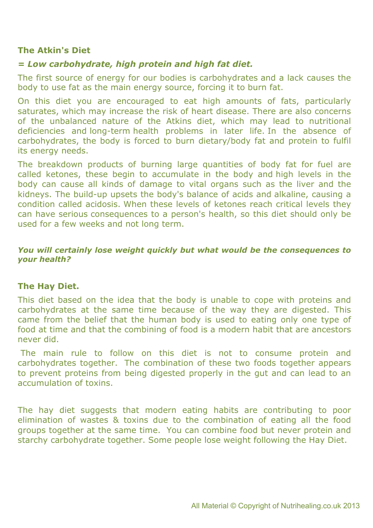#### **The Atkin's Diet**

# *= Low carbohydrate, high protein and high fat diet.*

The first source of energy for our bodies is carbohydrates and a lack causes the body to use fat as the main energy source, forcing it to burn fat.

On this diet you are encouraged to eat high amounts of fats, particularly saturates, which may increase the risk of heart disease. There are also concerns of the unbalanced nature of the Atkins diet, which may lead to nutritional deficiencies and long-term health problems in later life. In the absence of carbohydrates, the body is forced to burn dietary/body fat and protein to fulfil its energy needs.

The breakdown products of burning large quantities of body fat for fuel are called ketones, these begin to accumulate in the body and high levels in the body can cause all kinds of damage to vital organs such as the liver and the kidneys. The build-up upsets the body's balance of acids and alkaline, causing a condition called acidosis. When these levels of ketones reach critical levels they can have serious consequences to a person's health, so this diet should only be used for a few weeks and not long term.

#### *You will certainly lose weight quickly but what would be the consequences to your health?*

#### **The Hay Diet.**

This diet based on the idea that the body is unable to cope with proteins and carbohydrates at the same time because of the way they are digested. This came from the belief that the human body is used to eating only one type of food at time and that the combining of food is a modern habit that are ancestors never did.

The main rule to follow on this diet is not to consume protein and carbohydrates together. The combination of these two foods together appears to prevent proteins from being digested properly in the gut and can lead to an accumulation of toxins.

The hay diet suggests that modern eating habits are contributing to poor elimination of wastes & toxins due to the combination of eating all the food groups together at the same time. You can combine food but never protein and starchy carbohydrate together. Some people lose weight following the Hay Diet.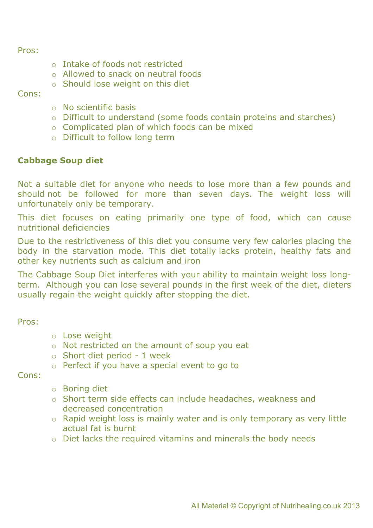Pros:

- o Intake of foods not restricted
- o Allowed to snack on neutral foods
- o Should lose weight on this diet

#### Cons:

- o No scientific basis
- o Difficult to understand (some foods contain proteins and starches)
- o Complicated plan of which foods can be mixed
- o Difficult to follow long term

## **Cabbage Soup diet**

Not a suitable diet for anyone who needs to lose more than a few pounds and should not be followed for more than seven days. The weight loss will unfortunately only be temporary.

This diet focuses on eating primarily one type of food, which can cause nutritional deficiencies

Due to the restrictiveness of this diet you consume very few calories placing the body in the starvation mode. This diet totally lacks protein, healthy fats and other key nutrients such as calcium and iron

The Cabbage Soup Diet interferes with your ability to maintain weight loss longterm. Although you can lose several pounds in the first week of the diet, dieters usually regain the weight quickly after stopping the diet.

Pros:

- o Lose weight
- o Not restricted on the amount of soup you eat
- o Short diet period 1 week
- o Perfect if you have a special event to go to

Cons:

- o Boring diet
- o Short term side effects can include headaches, weakness and decreased concentration
- o Rapid weight loss is mainly water and is only temporary as very little actual fat is burnt
- o Diet lacks the required vitamins and minerals the body needs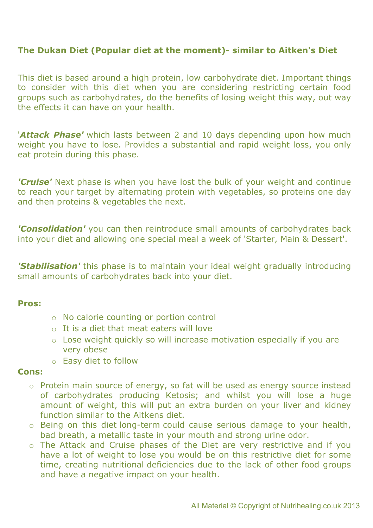# **The Dukan Diet (Popular diet at the moment)- similar to Aitken's Diet**

This diet is based around a high protein, low carbohydrate diet. Important things to consider with this diet when you are considering restricting certain food groups such as carbohydrates, do the benefits of losing weight this way, out way the effects it can have on your health.

'*Attack Phase'* which lasts between 2 and 10 days depending upon how much weight you have to lose. Provides a substantial and rapid weight loss, you only eat protein during this phase.

*'Cruise'* Next phase is when you have lost the bulk of your weight and continue to reach your target by alternating protein with vegetables, so proteins one day and then proteins & vegetables the next.

*'Consolidation'* you can then reintroduce small amounts of carbohydrates back into your diet and allowing one special meal a week of 'Starter, Main & Dessert'.

*'Stabilisation'* this phase is to maintain your ideal weight gradually introducing small amounts of carbohydrates back into your diet.

#### **Pros:**

- o No calorie counting or portion control
- o It is a diet that meat eaters will love
- o Lose weight quickly so will increase motivation especially if you are very obese
- o Easy diet to follow

#### **Cons:**

- o Protein main source of energy, so fat will be used as energy source instead of carbohydrates producing Ketosis; and whilst you will lose a huge amount of weight, this will put an extra burden on your liver and kidney function similar to the Aitkens diet.
- o Being on this diet long-term could cause serious damage to your health, bad breath, a metallic taste in your mouth and strong urine odor.
- o The Attack and Cruise phases of the Diet are very restrictive and if you have a lot of weight to lose you would be on this restrictive diet for some time, creating nutritional deficiencies due to the lack of other food groups and have a negative impact on your health.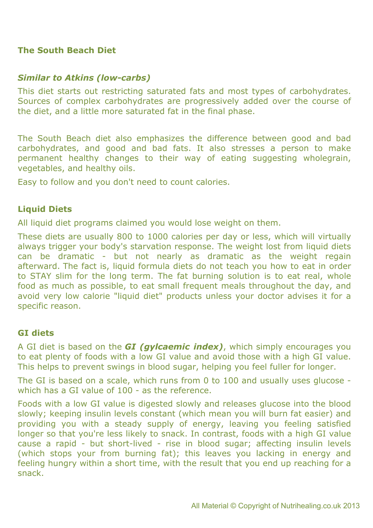#### **The South Beach Diet**

#### *Similar to Atkins (low-carbs)*

This diet starts out restricting saturated fats and most types of carbohydrates. Sources of complex carbohydrates are progressively added over the course of the diet, and a little more saturated fat in the final phase.

The South Beach diet also emphasizes the difference between good and bad carbohydrates, and good and bad fats. It also stresses a person to make permanent healthy changes to their way of eating suggesting wholegrain, vegetables, and healthy oils.

Easy to follow and you don't need to count calories.

## **Liquid Diets**

All liquid diet programs claimed you would lose weight on them.

These diets are usually 800 to 1000 calories per day or less, which will virtually always trigger your body's starvation response. The weight lost from liquid diets can be dramatic - but not nearly as dramatic as the weight regain afterward. The fact is, liquid formula diets do not teach you how to eat in order to STAY slim for the long term. The fat burning solution is to eat real, whole food as much as possible, to eat small frequent meals throughout the day, and avoid very low calorie "liquid diet" products unless your doctor advises it for a specific reason.

#### **GI diets**

A GI diet is based on the *GI (gylcaemic index)*, which simply encourages you to eat plenty of foods with a low GI value and avoid those with a high GI value. This helps to prevent swings in blood sugar, helping you feel fuller for longer.

The GI is based on a scale, which runs from 0 to 100 and usually uses glucose which has a GI value of 100 - as the reference.

Foods with a low GI value is digested slowly and releases glucose into the blood slowly; keeping insulin levels constant (which mean you will burn fat easier) and providing you with a steady supply of energy, leaving you feeling satisfied longer so that you're less likely to snack. In contrast, foods with a high GI value cause a rapid - but short-lived - rise in blood sugar; affecting insulin levels (which stops your from burning fat); this leaves you lacking in energy and feeling hungry within a short time, with the result that you end up reaching for a snack.